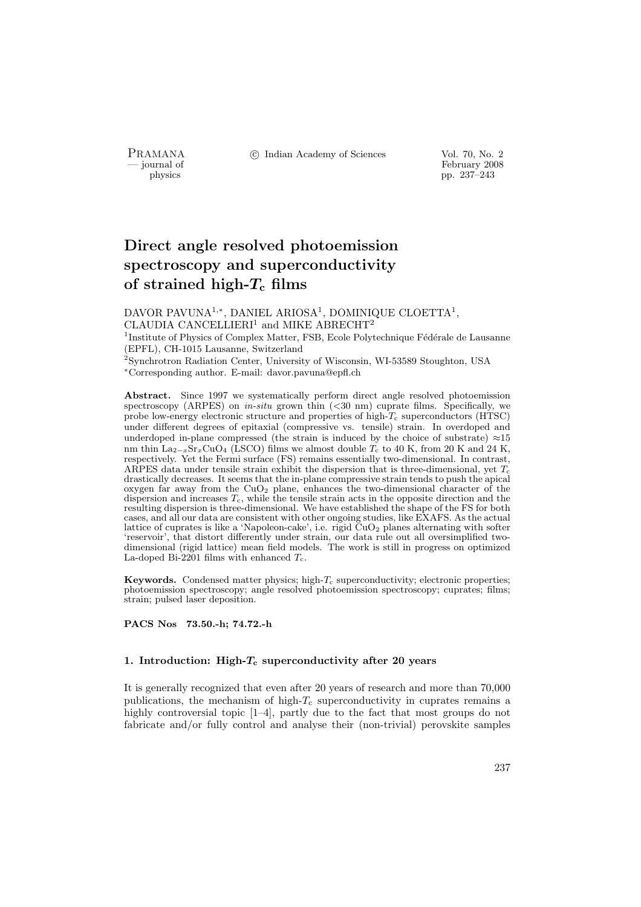PRAMANA °c Indian Academy of Sciences Vol. 70, No. 2

physics<br>
and the state of February 2008<br>
pp. 237–243 physics pp. 237–243

# Direct angle resolved photoemission spectroscopy and superconductivity of strained high- $T_c$  films

## DAVOR PAVUNA<sup>1,∗</sup>, DANIEL ARIOSA<sup>1</sup>, DOMINIQUE CLOETTA<sup>1</sup>, CLAUDIA CANCELLIERI<sup>1</sup> and MIKE ABRECHT<sup>2</sup> <sup>1</sup>Institute of Physics of Complex Matter, FSB, Ecole Polytechnique Fédérale de Lausanne

(EPFL), CH-1015 Lausanne, Switzerland <sup>2</sup>Synchrotron Radiation Center, University of Wisconsin, WI-53589 Stoughton, USA <sup>∗</sup>Corresponding author. E-mail: davor.pavuna@epfl.ch

Abstract. Since 1997 we systematically perform direct angle resolved photoemission spectroscopy (ARPES) on  $in\text{-}situ$  grown thin (<30 nm) cuprate films. Specifically, we probe low-energy electronic structure and properties of high- $T_c$  superconductors (HTSC) under different degrees of epitaxial (compressive vs. tensile) strain. In overdoped and underdoped in-plane compressed (the strain is induced by the choice of substrate)  $\approx 15$ nm thin La<sub>2−x</sub>Sr<sub>x</sub>CuO<sub>4</sub> (LSCO) films we almost double  $T_c$  to 40 K, from 20 K and 24 K, respectively. Yet the Fermi surface (FS) remains essentially two-dimensional. In contrast, ARPES data under tensile strain exhibit the dispersion that is three-dimensional, yet  $T_c$ drastically decreases. It seems that the in-plane compressive strain tends to push the apical oxygen far away from the  $CuO<sub>2</sub>$  plane, enhances the two-dimensional character of the dispersion and increases  $T_c$ , while the tensile strain acts in the opposite direction and the resulting dispersion is three-dimensional. We have established the shape of the FS for both cases, and all our data are consistent with other ongoing studies, like EXAFS. As the actual lattice of cuprates is like a 'Napoleon-cake', i.e. rigid  $CuO<sub>2</sub>$  planes alternating with softer 'reservoir', that distort differently under strain, our data rule out all oversimplified twodimensional (rigid lattice) mean field models. The work is still in progress on optimized La-doped Bi-2201 films with enhanced  $T_c$ .

**Keywords.** Condensed matter physics; high- $T_c$  superconductivity; electronic properties; photoemission spectroscopy; angle resolved photoemission spectroscopy; cuprates; films; strain; pulsed laser deposition.

PACS Nos 73.50.-h; 74.72.-h

### 1. Introduction: High- $T_c$  superconductivity after 20 years

It is generally recognized that even after 20 years of research and more than 70,000 publications, the mechanism of high- $T_c$  superconductivity in cuprates remains a highly controversial topic  $[1-4]$ , partly due to the fact that most groups do not fabricate and/or fully control and analyse their (non-trivial) perovskite samples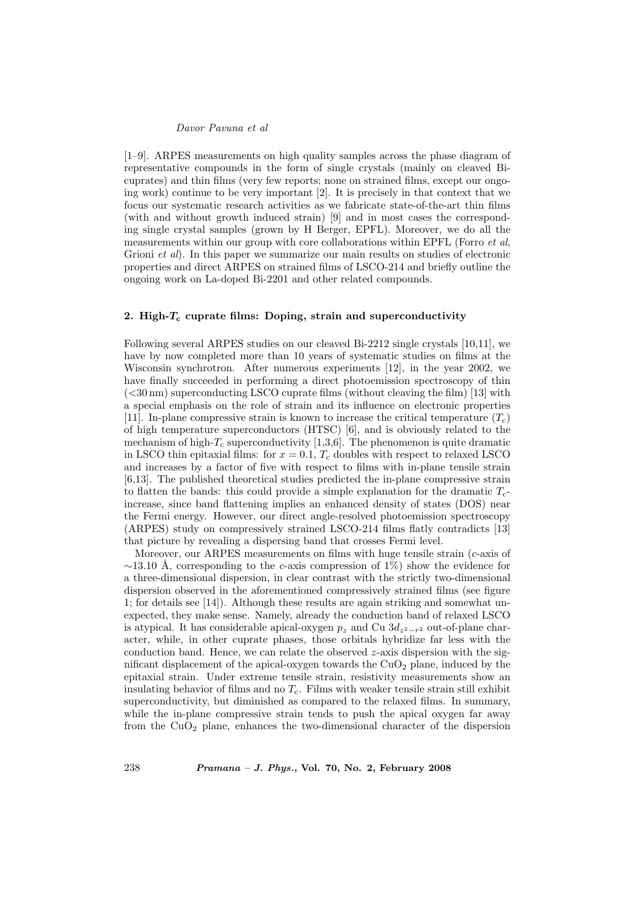#### Davor Pavuna et al

[1–9]. ARPES measurements on high quality samples across the phase diagram of representative compounds in the form of single crystals (mainly on cleaved Bicuprates) and thin films (very few reports; none on strained films, except our ongoing work) continue to be very important [2]. It is precisely in that context that we focus our systematic research activities as we fabricate state-of-the-art thin films (with and without growth induced strain) [9] and in most cases the corresponding single crystal samples (grown by H Berger, EPFL). Moreover, we do all the measurements within our group with core collaborations within EPFL (Forro et al, Grioni *et al*). In this paper we summarize our main results on studies of electronic properties and direct ARPES on strained films of LSCO-214 and briefly outline the ongoing work on La-doped Bi-2201 and other related compounds.

## 2. High- $T_c$  cuprate films: Doping, strain and superconductivity

Following several ARPES studies on our cleaved Bi-2212 single crystals [10,11], we have by now completed more than 10 years of systematic studies on films at the Wisconsin synchrotron. After numerous experiments [12], in the year 2002, we have finally succeeded in performing a direct photoemission spectroscopy of thin (<30 nm) superconducting LSCO cuprate films (without cleaving the film) [13] with a special emphasis on the role of strain and its influence on electronic properties [11]. In-plane compressive strain is known to increase the critical temperature  $(T_c)$ of high temperature superconductors (HTSC) [6], and is obviously related to the mechanism of high- $T_c$  superconductivity [1,3,6]. The phenomenon is quite dramatic in LSCO thin epitaxial films: for  $x = 0.1$ ,  $T_c$  doubles with respect to relaxed LSCO and increases by a factor of five with respect to films with in-plane tensile strain [6,13]. The published theoretical studies predicted the in-plane compressive strain to flatten the bands: this could provide a simple explanation for the dramatic  $T_{c}$ increase, since band flattening implies an enhanced density of states (DOS) near the Fermi energy. However, our direct angle-resolved photoemission spectroscopy (ARPES) study on compressively strained LSCO-214 films flatly contradicts [13] that picture by revealing a dispersing band that crosses Fermi level.

Moreover, our ARPES measurements on films with huge tensile strain  $(c\text{-axis of})$  $\sim$ 13.10 Å, corresponding to the c-axis compression of 1%) show the evidence for a three-dimensional dispersion, in clear contrast with the strictly two-dimensional dispersion observed in the aforementioned compressively strained films (see figure 1; for details see [14]). Although these results are again striking and somewhat unexpected, they make sense. Namely, already the conduction band of relaxed LSCO is atypical. It has considerable apical-oxygen  $p_z$  and Cu  $3d_{z^2-r^2}$  out-of-plane character, while, in other cuprate phases, those orbitals hybridize far less with the conduction band. Hence, we can relate the observed  $z$ -axis dispersion with the significant displacement of the apical-oxygen towards the  $CuO<sub>2</sub>$  plane, induced by the epitaxial strain. Under extreme tensile strain, resistivity measurements show an insulating behavior of films and no  $T_c$ . Films with weaker tensile strain still exhibit superconductivity, but diminished as compared to the relaxed films. In summary, while the in-plane compressive strain tends to push the apical oxygen far away from the  $CuO<sub>2</sub>$  plane, enhances the two-dimensional character of the dispersion

238 Pramana – J. Phys., Vol. 70, No. 2, February 2008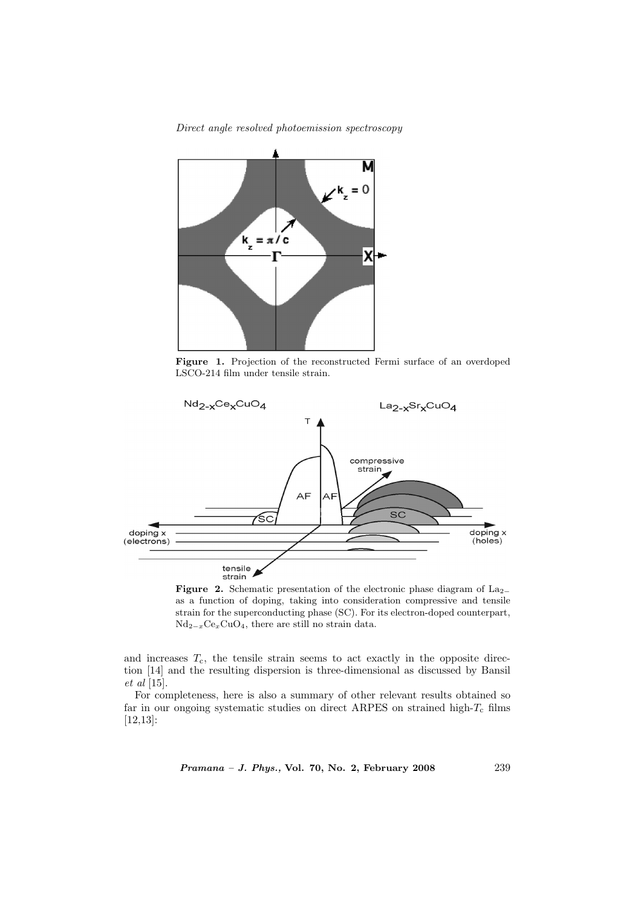Direct angle resolved photoemission spectroscopy



Figure 1. Projection of the reconstructed Fermi surface of an overdoped LSCO-214 film under tensile strain.



Figure 2. Schematic presentation of the electronic phase diagram of La2<sup>−</sup> as a function of doping, taking into consideration compressive and tensile strain for the superconducting phase (SC). For its electron-doped counterpart,  $Nd_{2-x}Ce_xCuO_4$ , there are still no strain data.

and increases  $T_c$ , the tensile strain seems to act exactly in the opposite direction [14] and the resulting dispersion is three-dimensional as discussed by Bansil et al [15].

For completeness, here is also a summary of other relevant results obtained so far in our ongoing systematic studies on direct ARPES on strained high- $T_c$  films [12,13]:

Pramana – J. Phys., Vol. 70, No. 2, February 2008 239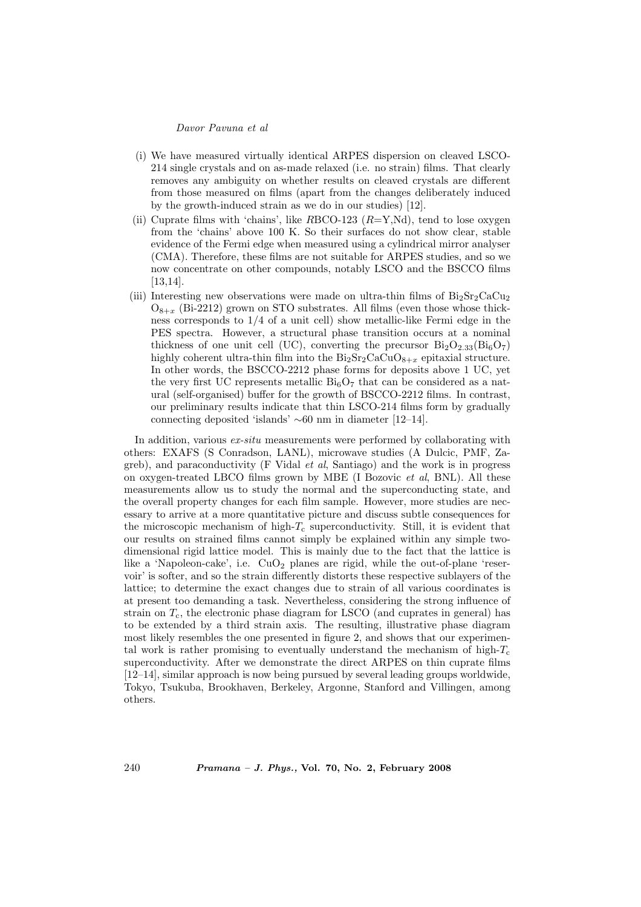#### Davor Pavuna et al

- (i) We have measured virtually identical ARPES dispersion on cleaved LSCO-214 single crystals and on as-made relaxed (i.e. no strain) films. That clearly removes any ambiguity on whether results on cleaved crystals are different from those measured on films (apart from the changes deliberately induced by the growth-induced strain as we do in our studies) [12].
- (ii) Cuprate films with 'chains', like RBCO-123  $(R=Y, Nd)$ , tend to lose oxygen from the 'chains' above 100 K. So their surfaces do not show clear, stable evidence of the Fermi edge when measured using a cylindrical mirror analyser (CMA). Therefore, these films are not suitable for ARPES studies, and so we now concentrate on other compounds, notably LSCO and the BSCCO films [13,14].
- (iii) Interesting new observations were made on ultra-thin films of  $Bi_2Sr_2CaCu_2$  $O_{8+x}$  (Bi-2212) grown on STO substrates. All films (even those whose thickness corresponds to 1/4 of a unit cell) show metallic-like Fermi edge in the PES spectra. However, a structural phase transition occurs at a nominal thickness of one unit cell (UC), converting the precursor  $\rm{Bi}_2O_{2.33}(\rm{Bi}_6O_7)$ highly coherent ultra-thin film into the  $Bi_2Sr_2CaCuO_{8+x}$  epitaxial structure. In other words, the BSCCO-2212 phase forms for deposits above 1 UC, yet the very first UC represents metallic  $Bi_6O_7$  that can be considered as a natural (self-organised) buffer for the growth of BSCCO-2212 films. In contrast, our preliminary results indicate that thin LSCO-214 films form by gradually connecting deposited 'islands' ∼60 nm in diameter [12–14].

In addition, various  $ex\text{-}situ$  measurements were performed by collaborating with others: EXAFS (S Conradson, LANL), microwave studies (A Dulcic, PMF, Zagreb), and paraconductivity (F Vidal et al, Santiago) and the work is in progress on oxygen-treated LBCO films grown by MBE (I Bozovic et al, BNL). All these measurements allow us to study the normal and the superconducting state, and the overall property changes for each film sample. However, more studies are necessary to arrive at a more quantitative picture and discuss subtle consequences for the microscopic mechanism of high- $T_c$  superconductivity. Still, it is evident that our results on strained films cannot simply be explained within any simple twodimensional rigid lattice model. This is mainly due to the fact that the lattice is like a 'Napoleon-cake', i.e.  $CuO<sub>2</sub>$  planes are rigid, while the out-of-plane 'reservoir' is softer, and so the strain differently distorts these respective sublayers of the lattice; to determine the exact changes due to strain of all various coordinates is at present too demanding a task. Nevertheless, considering the strong influence of strain on  $T_c$ , the electronic phase diagram for LSCO (and cuprates in general) has to be extended by a third strain axis. The resulting, illustrative phase diagram most likely resembles the one presented in figure 2, and shows that our experimental work is rather promising to eventually understand the mechanism of high- $T_c$ superconductivity. After we demonstrate the direct ARPES on thin cuprate films [12–14], similar approach is now being pursued by several leading groups worldwide, Tokyo, Tsukuba, Brookhaven, Berkeley, Argonne, Stanford and Villingen, among others.

240 Pramana – J. Phys., Vol. 70, No. 2, February 2008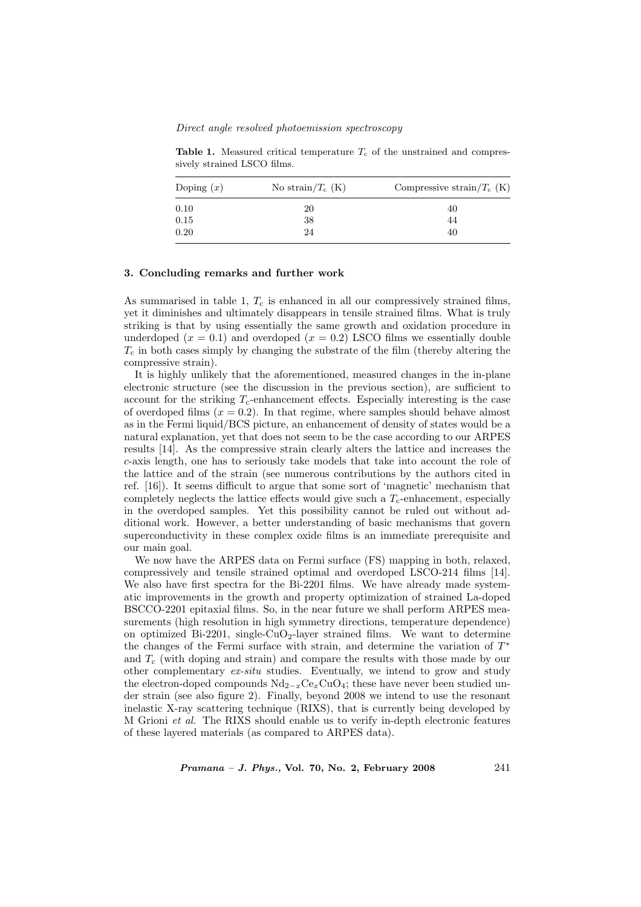Direct angle resolved photoemission spectroscopy

Table 1. Measured critical temperature  $T_c$  of the unstrained and compressively strained LSCO films.

| No strain/ $T_c$ (K) | Compressive strain/ $T_c$ (K) |
|----------------------|-------------------------------|
| 20                   | 40                            |
| 38                   | 44                            |
| 24                   | 40                            |
|                      |                               |

#### 3. Concluding remarks and further work

As summarised in table 1,  $T_c$  is enhanced in all our compressively strained films, yet it diminishes and ultimately disappears in tensile strained films. What is truly striking is that by using essentially the same growth and oxidation procedure in underdoped  $(x = 0.1)$  and overdoped  $(x = 0.2)$  LSCO films we essentially double  $T_c$  in both cases simply by changing the substrate of the film (thereby altering the compressive strain).

It is highly unlikely that the aforementioned, measured changes in the in-plane electronic structure (see the discussion in the previous section), are sufficient to account for the striking  $T_c$ -enhancement effects. Especially interesting is the case of overdoped films  $(x = 0.2)$ . In that regime, where samples should behave almost as in the Fermi liquid/BCS picture, an enhancement of density of states would be a natural explanation, yet that does not seem to be the case according to our ARPES results [14]. As the compressive strain clearly alters the lattice and increases the c-axis length, one has to seriously take models that take into account the role of the lattice and of the strain (see numerous contributions by the authors cited in ref. [16]). It seems difficult to argue that some sort of 'magnetic' mechanism that completely neglects the lattice effects would give such a  $T_c$ -enhacement, especially in the overdoped samples. Yet this possibility cannot be ruled out without additional work. However, a better understanding of basic mechanisms that govern superconductivity in these complex oxide films is an immediate prerequisite and our main goal.

We now have the ARPES data on Fermi surface (FS) mapping in both, relaxed, compressively and tensile strained optimal and overdoped LSCO-214 films [14]. We also have first spectra for the Bi-2201 films. We have already made systematic improvements in the growth and property optimization of strained La-doped BSCCO-2201 epitaxial films. So, in the near future we shall perform ARPES measurements (high resolution in high symmetry directions, temperature dependence) on optimized Bi-2201, single-CuO<sub>2</sub>-layer strained films. We want to determine the changes of the Fermi surface with strain, and determine the variation of  $T^*$ and  $T_c$  (with doping and strain) and compare the results with those made by our other complementary ex-situ studies. Eventually, we intend to grow and study the electron-doped compounds  $Nd_{2-x}Ce_xCuO_4$ ; these have never been studied under strain (see also figure 2). Finally, beyond 2008 we intend to use the resonant inelastic X-ray scattering technique (RIXS), that is currently being developed by M Grioni et al. The RIXS should enable us to verify in-depth electronic features of these layered materials (as compared to ARPES data).

*Pramana – J. Phys.*, Vol. 70, No. 2, February 2008  $241$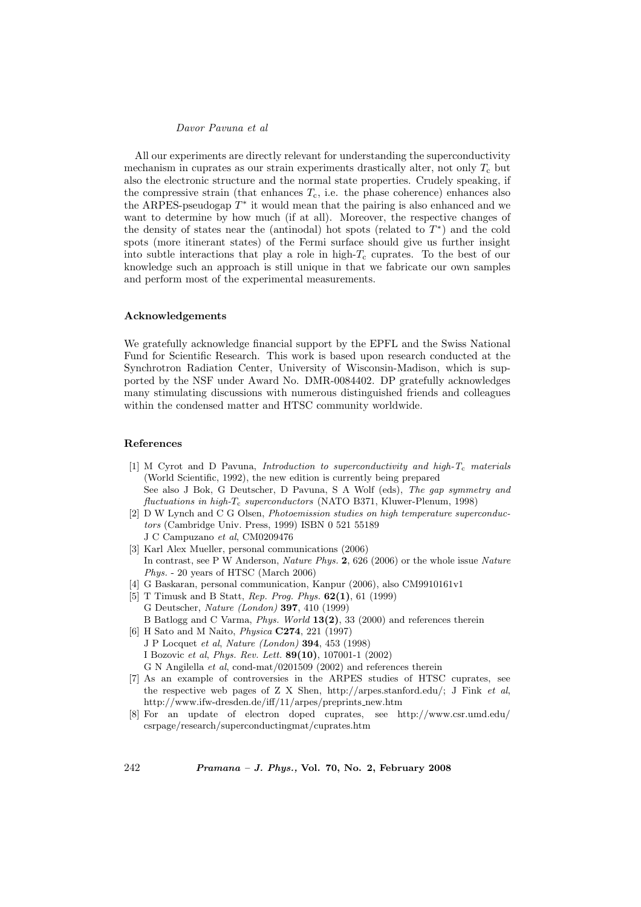#### Davor Pavuna et al

All our experiments are directly relevant for understanding the superconductivity mechanism in cuprates as our strain experiments drastically alter, not only  $T_c$  but also the electronic structure and the normal state properties. Crudely speaking, if the compressive strain (that enhances  $T_c$ , i.e. the phase coherence) enhances also the ARPES-pseudogap  $T^*$  it would mean that the pairing is also enhanced and we want to determine by how much (if at all). Moreover, the respective changes of the density of states near the (antinodal) hot spots (related to  $T^*$ ) and the cold spots (more itinerant states) of the Fermi surface should give us further insight into subtle interactions that play a role in high- $T_c$  cuprates. To the best of our knowledge such an approach is still unique in that we fabricate our own samples and perform most of the experimental measurements.

#### Acknowledgements

We gratefully acknowledge financial support by the EPFL and the Swiss National Fund for Scientific Research. This work is based upon research conducted at the Synchrotron Radiation Center, University of Wisconsin-Madison, which is supported by the NSF under Award No. DMR-0084402. DP gratefully acknowledges many stimulating discussions with numerous distinguished friends and colleagues within the condensed matter and HTSC community worldwide.

#### References

- [1] M Cyrot and D Pavuna, *Introduction to superconductivity and high-T<sub>c</sub>* materials (World Scientific, 1992), the new edition is currently being prepared See also J Bok, G Deutscher, D Pavuna, S A Wolf (eds), The gap symmetry and  $fluctuations in high-T<sub>c</sub> superconductors (NATO B371, Kluwer-Plenum, 1998)$
- [2] D W Lynch and C G Olsen, Photoemission studies on high temperature superconductors (Cambridge Univ. Press, 1999) ISBN 0 521 55189 J C Campuzano et al, CM0209476
- [3] Karl Alex Mueller, personal communications (2006) In contrast, see P W Anderson, Nature Phys. 2, 626 (2006) or the whole issue Nature Phys. - 20 years of HTSC (March 2006)
- [4] G Baskaran, personal communication, Kanpur (2006), also CM9910161v1
- [5] T Timusk and B Statt, *Rep. Prog. Phys.* **62(1)**, 61 (1999) G Deutscher, Nature (London) 397, 410 (1999) B Batlogg and C Varma, Phys. World 13(2), 33 (2000) and references therein
- [6] H Sato and M Naito, Physica C274, 221 (1997) J P Locquet et al, Nature (London) 394, 453 (1998) I Bozovic et al, Phys. Rev. Lett. 89(10), 107001-1 (2002) G N Angilella et al, cond-mat/0201509 (2002) and references therein
- [7] As an example of controversies in the ARPES studies of HTSC cuprates, see the respective web pages of Z X Shen, http://arpes.stanford.edu/; J Fink et al, http://www.ifw-dresden.de/iff/11/arpes/preprints new.htm
- [8] For an update of electron doped cuprates, see http://www.csr.umd.edu/ csrpage/research/superconductingmat/cuprates.htm